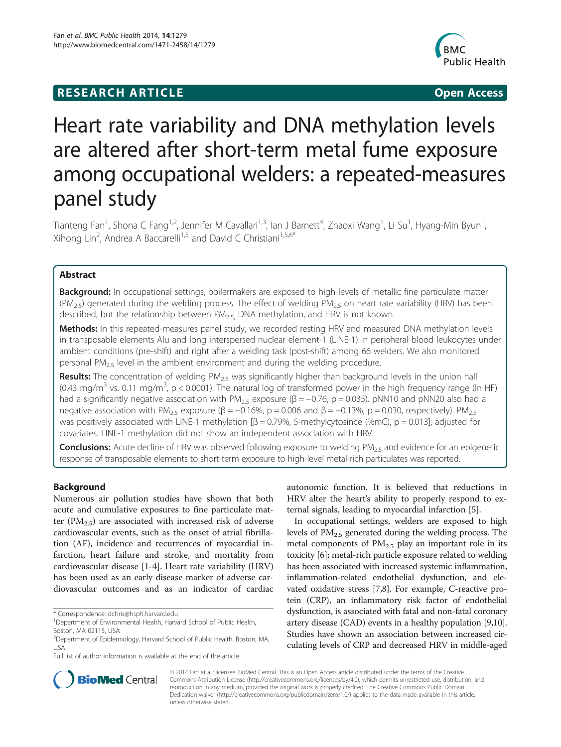# **RESEARCH ARTICLE Example 2014 12:30 The SEAR CHIPS 2014 12:30 The Open Access**



# Heart rate variability and DNA methylation levels are altered after short-term metal fume exposure among occupational welders: a repeated-measures panel study

Tianteng Fan<sup>1</sup>, Shona C Fang<sup>1,2</sup>, Jennifer M Cavallari<sup>1,3</sup>, lan J Barnett<sup>4</sup>, Zhaoxi Wang<sup>1</sup>, Li Su<sup>1</sup>, Hyang-Min Byun<sup>1</sup> , Xihong Lin<sup>2</sup>, Andrea A Baccarelli<sup>1,5</sup> and David C Christiani<sup>1,5,6\*</sup>

# Abstract

Background: In occupational settings, boilermakers are exposed to high levels of metallic fine particulate matter  $(PM_{2.5})$  generated during the welding process. The effect of welding  $PM_{2.5}$  on heart rate variability (HRV) has been described, but the relationship between  $PM_{2.5}$  DNA methylation, and HRV is not known.

Methods: In this repeated-measures panel study, we recorded resting HRV and measured DNA methylation levels in transposable elements Alu and long interspersed nuclear element-1 (LINE-1) in peripheral blood leukocytes under ambient conditions (pre-shift) and right after a welding task (post-shift) among 66 welders. We also monitored personal  $PM_{2.5}$  level in the ambient environment and during the welding procedure.

**Results:** The concentration of welding  $PM_{2.5}$  was significantly higher than background levels in the union hall (0.43 mg/m<sup>3</sup> vs. 0.11 mg/m<sup>3</sup>, p < 0.0001). The natural log of transformed power in the high frequency range (ln HF) had a significantly negative association with PM<sub>2.5</sub> exposure ( $\beta$  = -0.76, p = 0.035). pNN10 and pNN20 also had a negative association with PM<sub>2.5</sub> exposure (β = -0.16%, p = 0.006 and β = -0.13%, p = 0.030, respectively). PM<sub>2.5</sub> was positively associated with LINE-1 methylation  $[\beta = 0.79\%$ , 5-methylcytosince (%mC), p = 0.013]; adjusted for covariates. LINE-1 methylation did not show an independent association with HRV.

**Conclusions:** Acute decline of HRV was observed following exposure to welding  $PM_{2.5}$  and evidence for an epigenetic response of transposable elements to short-term exposure to high-level metal-rich particulates was reported.

# Background

Numerous air pollution studies have shown that both acute and cumulative exposures to fine particulate matter ( $PM_{2.5}$ ) are associated with increased risk of adverse cardiovascular events, such as the onset of atrial fibrillation (AF), incidence and recurrences of myocardial infarction, heart failure and stroke, and mortality from cardiovascular disease [\[1](#page-6-0)-[4\]](#page-6-0). Heart rate variability (HRV) has been used as an early disease marker of adverse cardiovascular outcomes and as an indicator of cardiac

autonomic function. It is believed that reductions in HRV alter the heart's ability to properly respond to external signals, leading to myocardial infarction [[5\]](#page-7-0).

In occupational settings, welders are exposed to high levels of  $PM_{2.5}$  generated during the welding process. The metal components of  $PM<sub>2.5</sub>$  play an important role in its toxicity [[6\]](#page-7-0); metal-rich particle exposure related to welding has been associated with increased systemic inflammation, inflammation-related endothelial dysfunction, and elevated oxidative stress [[7,8\]](#page-7-0). For example, C-reactive protein (CRP), an inflammatory risk factor of endothelial dysfunction, is associated with fatal and non-fatal coronary artery disease (CAD) events in a healthy population [[9,10](#page-7-0)]. Studies have shown an association between increased circulating levels of CRP and decreased HRV in middle-aged



© 2014 Fan et al.; licensee BioMed Central. This is an Open Access article distributed under the terms of the Creative Commons Attribution License [\(http://creativecommons.org/licenses/by/4.0\)](http://creativecommons.org/licenses/by/4.0), which permits unrestricted use, distribution, and reproduction in any medium, provided the original work is properly credited. The Creative Commons Public Domain Dedication waiver [\(http://creativecommons.org/publicdomain/zero/1.0/](http://creativecommons.org/publicdomain/zero/1.0/)) applies to the data made available in this article, unless otherwise stated.

<sup>\*</sup> Correspondence: [dchris@hsph.harvard.edu](mailto:dchris@hsph.harvard.edu) <sup>1</sup>

<sup>&</sup>lt;sup>1</sup>Department of Environmental Health, Harvard School of Public Health, Boston, MA 02115, USA

<sup>5</sup> Department of Epidemiology, Harvard School of Public Health, Boston, MA, USA

Full list of author information is available at the end of the article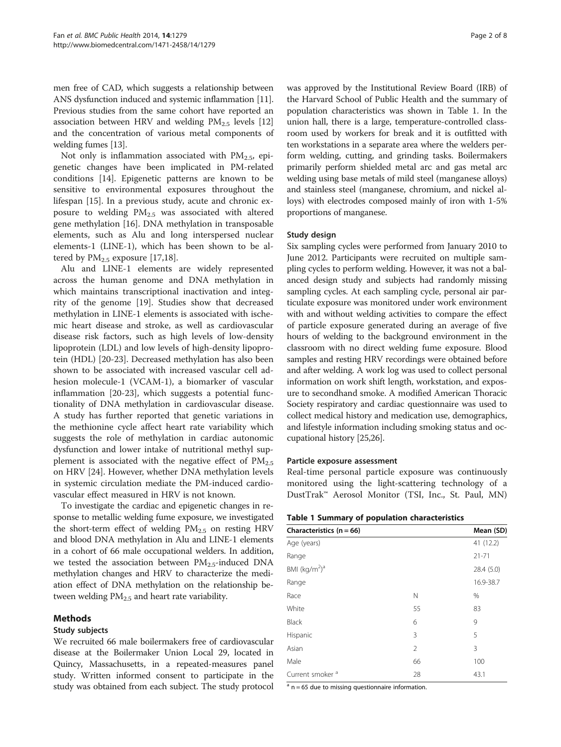men free of CAD, which suggests a relationship between ANS dysfunction induced and systemic inflammation [[11](#page-7-0)]. Previous studies from the same cohort have reported an association between HRV and welding  $PM<sub>2.5</sub>$  levels [[12](#page-7-0)] and the concentration of various metal components of welding fumes [\[13\]](#page-7-0).

Not only is inflammation associated with  $PM_{2.5}$ , epigenetic changes have been implicated in PM-related conditions [\[14](#page-7-0)]. Epigenetic patterns are known to be sensitive to environmental exposures throughout the lifespan [[15](#page-7-0)]. In a previous study, acute and chronic exposure to welding  $PM_{2.5}$  was associated with altered gene methylation [[16](#page-7-0)]. DNA methylation in transposable elements, such as Alu and long interspersed nuclear elements-1 (LINE-1), which has been shown to be altered by  $PM_{2.5}$  exposure [\[17,18\]](#page-7-0).

Alu and LINE-1 elements are widely represented across the human genome and DNA methylation in which maintains transcriptional inactivation and integrity of the genome [[19\]](#page-7-0). Studies show that decreased methylation in LINE-1 elements is associated with ischemic heart disease and stroke, as well as cardiovascular disease risk factors, such as high levels of low-density lipoprotein (LDL) and low levels of high-density lipoprotein (HDL) [[20-23](#page-7-0)]. Decreased methylation has also been shown to be associated with increased vascular cell adhesion molecule-1 (VCAM-1), a biomarker of vascular inflammation [\[20](#page-7-0)-[23](#page-7-0)], which suggests a potential functionality of DNA methylation in cardiovascular disease. A study has further reported that genetic variations in the methionine cycle affect heart rate variability which suggests the role of methylation in cardiac autonomic dysfunction and lower intake of nutritional methyl supplement is associated with the negative effect of  $PM_{2.5}$ on HRV [[24](#page-7-0)]. However, whether DNA methylation levels in systemic circulation mediate the PM-induced cardiovascular effect measured in HRV is not known.

To investigate the cardiac and epigenetic changes in response to metallic welding fume exposure, we investigated the short-term effect of welding  $PM_{2.5}$  on resting HRV and blood DNA methylation in Alu and LINE-1 elements in a cohort of 66 male occupational welders. In addition, we tested the association between  $PM_{2.5}$ -induced DNA methylation changes and HRV to characterize the mediation effect of DNA methylation on the relationship between welding  $PM<sub>2.5</sub>$  and heart rate variability.

#### Methods

# Study subjects

We recruited 66 male boilermakers free of cardiovascular disease at the Boilermaker Union Local 29, located in Quincy, Massachusetts, in a repeated-measures panel study. Written informed consent to participate in the study was obtained from each subject. The study protocol

was approved by the Institutional Review Board (IRB) of the Harvard School of Public Health and the summary of population characteristics was shown in Table 1. In the union hall, there is a large, temperature-controlled classroom used by workers for break and it is outfitted with ten workstations in a separate area where the welders perform welding, cutting, and grinding tasks. Boilermakers primarily perform shielded metal arc and gas metal arc welding using base metals of mild steel (manganese alloys) and stainless steel (manganese, chromium, and nickel alloys) with electrodes composed mainly of iron with 1-5% proportions of manganese.

# Study design

Six sampling cycles were performed from January 2010 to June 2012. Participants were recruited on multiple sampling cycles to perform welding. However, it was not a balanced design study and subjects had randomly missing sampling cycles. At each sampling cycle, personal air particulate exposure was monitored under work environment with and without welding activities to compare the effect of particle exposure generated during an average of five hours of welding to the background environment in the classroom with no direct welding fume exposure. Blood samples and resting HRV recordings were obtained before and after welding. A work log was used to collect personal information on work shift length, workstation, and exposure to secondhand smoke. A modified American Thoracic Society respiratory and cardiac questionnaire was used to collect medical history and medication use, demographics, and lifestyle information including smoking status and occupational history [\[25,26](#page-7-0)].

#### Particle exposure assessment

Real-time personal particle exposure was continuously monitored using the light-scattering technology of a DustTrak™ Aerosol Monitor (TSI, Inc., St. Paul, MN)

|  |  |  | Table 1 Summary of population characteristics |
|--|--|--|-----------------------------------------------|
|--|--|--|-----------------------------------------------|

| Characteristics $(n = 66)$            |    | Mean (SD)  |
|---------------------------------------|----|------------|
| Age (years)                           |    | 41 (12.2)  |
| Range                                 |    | $21 - 71$  |
| BMI (kg/m <sup>2</sup> ) <sup>a</sup> |    | 28.4 (5.0) |
| Range                                 |    | 16.9-38.7  |
| Race                                  | N  | %          |
| White                                 | 55 | 83         |
| <b>Black</b>                          | 6  | 9          |
| Hispanic                              | 3  | 5          |
| Asian                                 | 2  | 3          |
| Male                                  | 66 | 100        |
| Current smoker <sup>a</sup>           | 28 | 43.1       |

 $a$  n = 65 due to missing questionnaire information.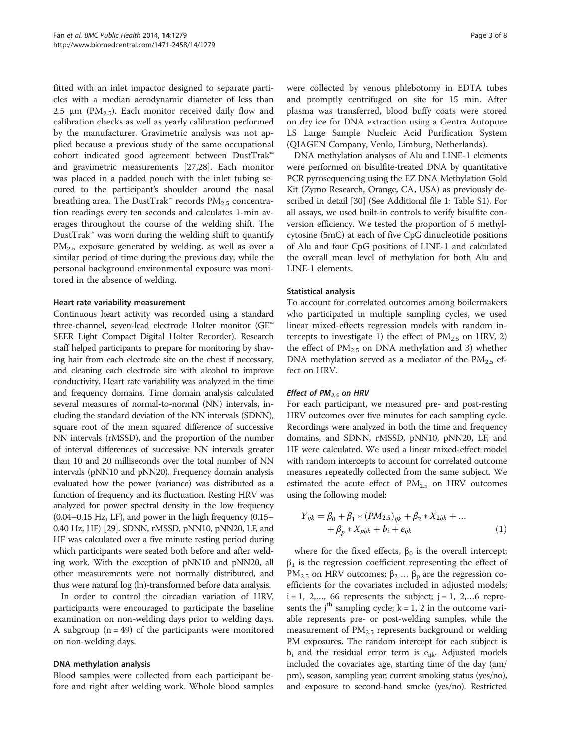fitted with an inlet impactor designed to separate particles with a median aerodynamic diameter of less than 2.5  $\mu$ m (PM<sub>2.5</sub>). Each monitor received daily flow and calibration checks as well as yearly calibration performed by the manufacturer. Gravimetric analysis was not applied because a previous study of the same occupational cohort indicated good agreement between DustTrak™ and gravimetric measurements [\[27,28](#page-7-0)]. Each monitor was placed in a padded pouch with the inlet tubing secured to the participant's shoulder around the nasal breathing area. The DustTrak™ records  $PM_{2.5}$  concentration readings every ten seconds and calculates 1-min averages throughout the course of the welding shift. The DustTrak™ was worn during the welding shift to quantify  $PM_{2.5}$  exposure generated by welding, as well as over a similar period of time during the previous day, while the personal background environmental exposure was monitored in the absence of welding.

#### Heart rate variability measurement

Continuous heart activity was recorded using a standard three-channel, seven-lead electrode Holter monitor (GE™ SEER Light Compact Digital Holter Recorder). Research staff helped participants to prepare for monitoring by shaving hair from each electrode site on the chest if necessary, and cleaning each electrode site with alcohol to improve conductivity. Heart rate variability was analyzed in the time and frequency domains. Time domain analysis calculated several measures of normal-to-normal (NN) intervals, including the standard deviation of the NN intervals (SDNN), square root of the mean squared difference of successive NN intervals (rMSSD), and the proportion of the number of interval differences of successive NN intervals greater than 10 and 20 milliseconds over the total number of NN intervals (pNN10 and pNN20). Frequency domain analysis evaluated how the power (variance) was distributed as a function of frequency and its fluctuation. Resting HRV was analyzed for power spectral density in the low frequency (0.04–0.15 Hz, LF), and power in the high frequency (0.15– 0.40 Hz, HF) [\[29](#page-7-0)]. SDNN, rMSSD, pNN10, pNN20, LF, and HF was calculated over a five minute resting period during which participants were seated both before and after welding work. With the exception of pNN10 and pNN20, all other measurements were not normally distributed, and thus were natural log (ln)-transformed before data analysis.

In order to control the circadian variation of HRV, participants were encouraged to participate the baseline examination on non-welding days prior to welding days. A subgroup  $(n = 49)$  of the participants were monitored on non-welding days.

#### DNA methylation analysis

Blood samples were collected from each participant before and right after welding work. Whole blood samples

were collected by venous phlebotomy in EDTA tubes and promptly centrifuged on site for 15 min. After plasma was transferred, blood buffy coats were stored on dry ice for DNA extraction using a Gentra Autopure LS Large Sample Nucleic Acid Purification System (QIAGEN Company, Venlo, Limburg, Netherlands).

DNA methylation analyses of Alu and LINE-1 elements were performed on bisulfite-treated DNA by quantitative PCR pyrosequencing using the EZ DNA Methylation Gold Kit (Zymo Research, Orange, CA, USA) as previously described in detail [\[30](#page-7-0)] (See Additional file [1:](#page-6-0) Table S1). For all assays, we used built-in controls to verify bisulfite conversion efficiency. We tested the proportion of 5 methylcytosine (5mC) at each of five CpG dinucleotide positions of Alu and four CpG positions of LINE-1 and calculated the overall mean level of methylation for both Alu and LINE-1 elements.

#### Statistical analysis

To account for correlated outcomes among boilermakers who participated in multiple sampling cycles, we used linear mixed-effects regression models with random intercepts to investigate 1) the effect of  $PM_{2.5}$  on HRV, 2) the effect of  $PM_{2.5}$  on DNA methylation and 3) whether DNA methylation served as a mediator of the  $PM_{2.5}$  effect on HRV.

#### Effect of  $PM_{2.5}$  on HRV

For each participant, we measured pre- and post-resting HRV outcomes over five minutes for each sampling cycle. Recordings were analyzed in both the time and frequency domains, and SDNN, rMSSD, pNN10, pNN20, LF, and HF were calculated. We used a linear mixed-effect model with random intercepts to account for correlated outcome measures repeatedly collected from the same subject. We estimated the acute effect of  $PM<sub>2.5</sub>$  on HRV outcomes using the following model:

$$
Y_{ijk} = \beta_0 + \beta_1 * (PM_{2.5})_{ijk} + \beta_2 * X_{2ijk} + ... + \beta_p * X_{pijk} + b_i + e_{ijk}
$$
 (1)

where for the fixed effects,  $\beta_0$  is the overall intercept;  $\beta_1$  is the regression coefficient representing the effect of PM<sub>2.5</sub> on HRV outcomes;  $β_2$  ...  $β_p$  are the regression coefficients for the covariates included in adjusted models;  $i = 1, 2,..., 66$  represents the subject;  $j = 1, 2,...6$  represents the j<sup>th</sup> sampling cycle;  $k = 1$ , 2 in the outcome variable represents pre- or post-welding samples, while the measurement of  $PM<sub>2.5</sub>$  represents background or welding PM exposures. The random intercept for each subject is  $b_i$  and the residual error term is  $e_{ijk}$ . Adjusted models included the covariates age, starting time of the day (am/ pm), season, sampling year, current smoking status (yes/no), and exposure to second-hand smoke (yes/no). Restricted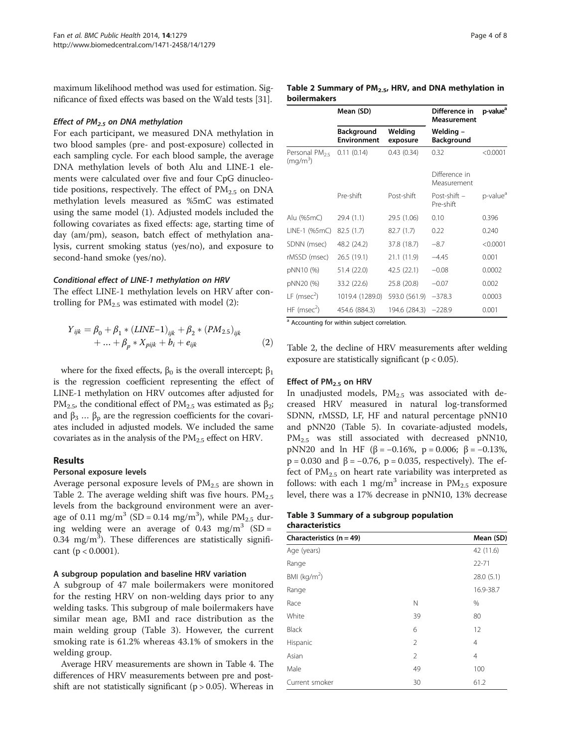maximum likelihood method was used for estimation. Significance of fixed effects was based on the Wald tests [\[31\]](#page-7-0).

#### Effect of  $PM_{2.5}$  on DNA methylation

For each participant, we measured DNA methylation in two blood samples (pre- and post-exposure) collected in each sampling cycle. For each blood sample, the average DNA methylation levels of both Alu and LINE-1 elements were calculated over five and four CpG dinucleotide positions, respectively. The effect of PM<sub>2.5</sub> on DNA methylation levels measured as %5mC was estimated using the same model (1). Adjusted models included the following covariates as fixed effects: age, starting time of day (am/pm), season, batch effect of methylation analysis, current smoking status (yes/no), and exposure to second-hand smoke (yes/no).

#### Conditional effect of LINE-1 methylation on HRV

The effect LINE-1 methylation levels on HRV after controlling for  $PM_{2.5}$  was estimated with model (2):

$$
Y_{ijk} = \beta_0 + \beta_1 * (LINE-1)_{ijk} + \beta_2 * (PM_{2.5})_{ijk} + ... + \beta_p * X_{pik} + b_i + e_{ijk}
$$
 (2)

where for the fixed effects,  $\beta_0$  is the overall intercept;  $\beta_1$ is the regression coefficient representing the effect of LINE-1 methylation on HRV outcomes after adjusted for PM<sub>2.5</sub>, the conditional effect of PM<sub>2.5</sub> was estimated as β<sub>2</sub>; and  $\beta_3 \dots \beta_p$  are the regression coefficients for the covariates included in adjusted models. We included the same covariates as in the analysis of the  $PM_{2.5}$  effect on HRV.

# Results

#### Personal exposure levels

Average personal exposure levels of  $PM_{2.5}$  are shown in Table 2. The average welding shift was five hours.  $PM_{2.5}$ levels from the background environment were an average of 0.11 mg/m<sup>3</sup> (SD = 0.14 mg/m<sup>3</sup>), while  $PM_{2.5}$  during welding were an average of 0.43 mg/m<sup>3</sup> (SD = 0.34 mg/m<sup>3</sup>). These differences are statistically significant ( $p < 0.0001$ ).

#### A subgroup population and baseline HRV variation

A subgroup of 47 male boilermakers were monitored for the resting HRV on non-welding days prior to any welding tasks. This subgroup of male boilermakers have similar mean age, BMI and race distribution as the main welding group (Table 3). However, the current smoking rate is 61.2% whereas 43.1% of smokers in the welding group.

Average HRV measurements are shown in Table [4](#page-4-0). The differences of HRV measurements between pre and postshift are not statistically significant ( $p > 0.05$ ). Whereas in

| Table 2 Summary of $PM_{2,5}$ , HRV, and DNA methylation in |  |  |
|-------------------------------------------------------------|--|--|

| <b>boilermakers</b>                               |                                                                      |                     |                                     |                      |  |  |
|---------------------------------------------------|----------------------------------------------------------------------|---------------------|-------------------------------------|----------------------|--|--|
|                                                   | Mean (SD)                                                            |                     | Difference in<br><b>Measurement</b> | p-value <sup>a</sup> |  |  |
|                                                   | <b>Background</b><br><b>Environment</b>                              | Welding<br>exposure | Welding –<br><b>Background</b>      |                      |  |  |
| Personal PM <sub>25</sub><br>(mq/m <sup>3</sup> ) | 0.11(0.14)                                                           | 0.43(0.34)          | 0.32                                | < 0.0001             |  |  |
|                                                   |                                                                      |                     | Difference in<br>Measurement        |                      |  |  |
|                                                   | Pre-shift                                                            | Post-shift          | Post-shift -<br>Pre-shift           | p-value <sup>a</sup> |  |  |
| Alu (%5mC)                                        | 29.4 (1.1)                                                           | 29.5 (1.06)         | 0.10                                | 0.396                |  |  |
| LINE-1 (%5mC)                                     | 82.5 (1.7)                                                           | 82.7(1.7)           | 0.22                                | 0.240                |  |  |
| SDNN (msec)                                       | 48.2 (24.2)                                                          | 37.8 (18.7)         | $-8.7$                              | < 0.0001             |  |  |
| rMSSD (msec)                                      | 26.5 (19.1)                                                          | 21.1 (11.9)         | $-4.45$                             | 0.001                |  |  |
| pNN10 (%)                                         | 51.4 (22.0)                                                          | 42.5 (22.1)         | $-0.08$                             | 0.0002               |  |  |
| pNN20 (%)                                         | 33.2 (22.6)                                                          | 25.8 (20.8)         | $-0.07$                             | 0.002                |  |  |
| LF (msec <sup>2</sup> )                           | 1019.4 (1289.0)                                                      | 593.0 (561.9)       | $-378.3$                            | 0.0003               |  |  |
| $HF$ (msec <sup>2</sup> )                         | 454.6 (884.3)<br>8. A seconding from this is a detected a sound star | 194.6 (284.3)       | $-228.9$                            | 0.001                |  |  |

Accounting for within subject correlation.

Table 2, the decline of HRV measurements after welding exposure are statistically significant ( $p < 0.05$ ).

#### Effect of PM<sub>2.5</sub> on HRV

In unadjusted models,  $PM_{2.5}$  was associated with decreased HRV measured in natural log-transformed SDNN, rMSSD, LF, HF and natural percentage pNN10 and pNN20 (Table [5](#page-4-0)). In covariate-adjusted models, PM<sub>2.5</sub> was still associated with decreased pNN10, pNN20 and ln HF (β = -0.16%, p = 0.006; β = -0.13%,  $p = 0.030$  and  $β = -0.76$ ,  $p = 0.035$ , respectively). The effect of  $PM_{2.5}$  on heart rate variability was interpreted as follows: with each 1 mg/m<sup>3</sup> increase in  $PM_{2.5}$  exposure level, there was a 17% decrease in pNN10, 13% decrease

#### Table 3 Summary of a subgroup population characteristics

| Characteristics $(n = 49)$ | Mean (SD)      |                |
|----------------------------|----------------|----------------|
| Age (years)                |                | 42 (11.6)      |
| Range                      |                | $22 - 71$      |
| BMI ( $kg/m2$ )            |                | 28.0(5.1)      |
| Range                      |                | 16.9-38.7      |
| Race                       | N              | %              |
| White                      | 39             | 80             |
| <b>Black</b>               | 6              | 12             |
| Hispanic                   | $\overline{2}$ | 4              |
| Asian                      | $\overline{2}$ | $\overline{4}$ |
| Male                       | 49             | 100            |
| Current smoker             | 30             | 61.2           |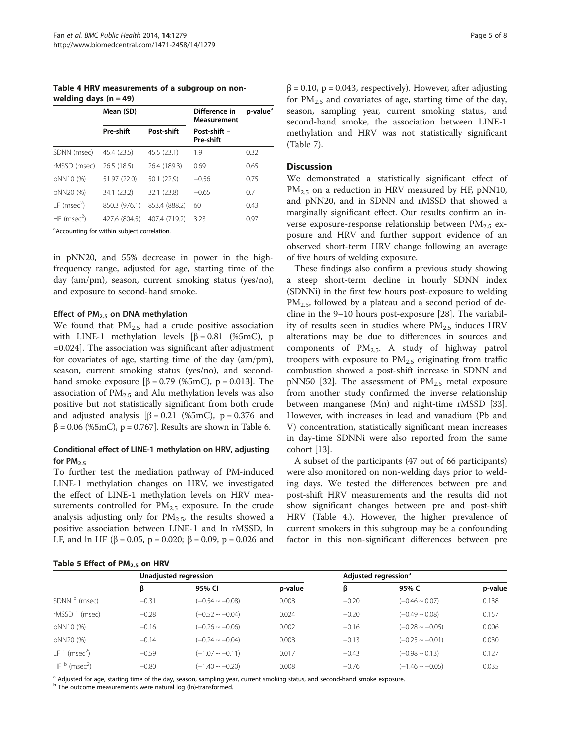<span id="page-4-0"></span>Table 4 HRV measurements of a subgroup on nonwelding days  $(n = 49)$ 

|                           | Mean (SD)     |               | Difference in<br><b>Measurement</b> | p-value <sup>a</sup> |
|---------------------------|---------------|---------------|-------------------------------------|----------------------|
|                           | Pre-shift     | Post-shift    | Post-shift -<br>Pre-shift           |                      |
| SDNN (msec)               | 45.4 (23.5)   | 45.5 (23.1)   | 1.9                                 | 0.32                 |
| rMSSD (msec)              | 26.5 (18.5)   | 26.4 (189.3)  | 0.69                                | 0.65                 |
| pNN10 (%)                 | 51.97 (22.0)  | 50.1 (22.9)   | $-0.56$                             | 0.75                 |
| pNN20 (%)                 | 34.1 (23.2)   | 32.1 (23.8)   | $-0.65$                             | 0.7                  |
| $LF$ (msec <sup>2</sup> ) | 850.3 (976.1) | 853.4 (888.2) | 60                                  | 0.43                 |
| $HF$ (msec <sup>2</sup> ) | 427.6 (804.5) | 407.4 (719.2) | 3.23                                | 0.97                 |

<sup>a</sup>Accounting for within subject correlation.

in pNN20, and 55% decrease in power in the highfrequency range, adjusted for age, starting time of the day (am/pm), season, current smoking status (yes/no), and exposure to second-hand smoke.

#### Effect of  $PM<sub>2.5</sub>$  on DNA methylation

We found that  $PM_{2.5}$  had a crude positive association with LINE-1 methylation levels  $\beta = 0.81$  (%5mC), p =0.024]. The association was significant after adjustment for covariates of age, starting time of the day (am/pm), season, current smoking status (yes/no), and secondhand smoke exposure  $[β = 0.79 (%5mC), p = 0.013]$ . The association of  $PM_{2.5}$  and Alu methylation levels was also positive but not statistically significant from both crude and adjusted analysis  $\beta = 0.21$  (%5mC), p = 0.376 and  $β = 0.06$  (%5mC),  $p = 0.767$ ]. Results are shown in Table [6](#page-5-0).

# Conditional effect of LINE-1 methylation on HRV, adjusting for  $PM<sub>2.5</sub>$

To further test the mediation pathway of PM-induced LINE-1 methylation changes on HRV, we investigated the effect of LINE-1 methylation levels on HRV measurements controlled for  $PM_{2.5}$  exposure. In the crude analysis adjusting only for  $PM<sub>2.5</sub>$ , the results showed a positive association between LINE-1 and ln rMSSD, ln LF, and ln HF (β = 0.05, p = 0.020; β = 0.09, p = 0.026 and

|  | Table 5 Effect of PM <sub>2.5</sub> on HRV |  |          |
|--|--------------------------------------------|--|----------|
|  |                                            |  | Unadjust |

 $\beta$  = 0.10, p = 0.043, respectively). However, after adjusting for  $PM_{2.5}$  and covariates of age, starting time of the day, season, sampling year, current smoking status, and second-hand smoke, the association between LINE-1 methylation and HRV was not statistically significant (Table [7\)](#page-5-0).

#### **Discussion**

We demonstrated a statistically significant effect of PM<sub>2.5</sub> on a reduction in HRV measured by HF, pNN10, and pNN20, and in SDNN and rMSSD that showed a marginally significant effect. Our results confirm an inverse exposure-response relationship between  $PM_{2.5}$  exposure and HRV and further support evidence of an observed short-term HRV change following an average of five hours of welding exposure.

These findings also confirm a previous study showing a steep short-term decline in hourly SDNN index (SDNNi) in the first few hours post-exposure to welding  $PM_{2.5}$ , followed by a plateau and a second period of decline in the 9–10 hours post-exposure [[28\]](#page-7-0). The variability of results seen in studies where  $PM_{2.5}$  induces HRV alterations may be due to differences in sources and components of  $PM_{2.5}$ . A study of highway patrol troopers with exposure to  $PM<sub>2.5</sub>$  originating from traffic combustion showed a post-shift increase in SDNN and pNN50 [[32](#page-7-0)]. The assessment of  $PM_{2.5}$  metal exposure from another study confirmed the inverse relationship between manganese (Mn) and night-time rMSSD [\[33](#page-7-0)]. However, with increases in lead and vanadium (Pb and V) concentration, statistically significant mean increases in day-time SDNNi were also reported from the same cohort [[13](#page-7-0)].

A subset of the participants (47 out of 66 participants) were also monitored on non-welding days prior to welding days. We tested the differences between pre and post-shift HRV measurements and the results did not show significant changes between pre and post-shift HRV (Table 4.). However, the higher prevalence of current smokers in this subgroup may be a confounding factor in this non-significant differences between pre

|                             | Unadjusted regression |                      |         | Adjusted regression <sup>a</sup> |                      |         |
|-----------------------------|-----------------------|----------------------|---------|----------------------------------|----------------------|---------|
|                             | β                     | 95% CI               | p-value | β                                | 95% CI               | p-value |
| SDNN <sup>b</sup> (msec)    | $-0.31$               | $(-0.54 \sim -0.08)$ | 0.008   | $-0.20$                          | $(-0.46 \sim 0.07)$  | 0.138   |
| rMSSD b (msec)              | $-0.28$               | $(-0.52 \sim -0.04)$ | 0.024   | $-0.20$                          | $(-0.49 \sim 0.08)$  | 0.157   |
| pNN10 (%)                   | $-0.16$               | $(-0.26 \sim -0.06)$ | 0.002   | $-0.16$                          | $(-0.28 \sim -0.05)$ | 0.006   |
| pNN20 (%)                   | $-0.14$               | $(-0.24 \sim -0.04)$ | 0.008   | $-0.13$                          | $(-0.25 \sim -0.01)$ | 0.030   |
| $LFb$ (msec <sup>2</sup> )  | $-0.59$               | $(-1.07 \sim -0.11)$ | 0.017   | $-0.43$                          | $(-0.98 \sim 0.13)$  | 0.127   |
| HF $b$ (msec <sup>2</sup> ) | $-0.80$               | $(-1.40 \sim -0.20)$ | 0.008   | $-0.76$                          | $(-1.46 \sim -0.05)$ | 0.035   |

<sup>a</sup> Adjusted for age, starting time of the day, season, sampling year, current smoking status, and second-hand smoke exposure.

b The outcome measurements were natural log (ln)-transformed.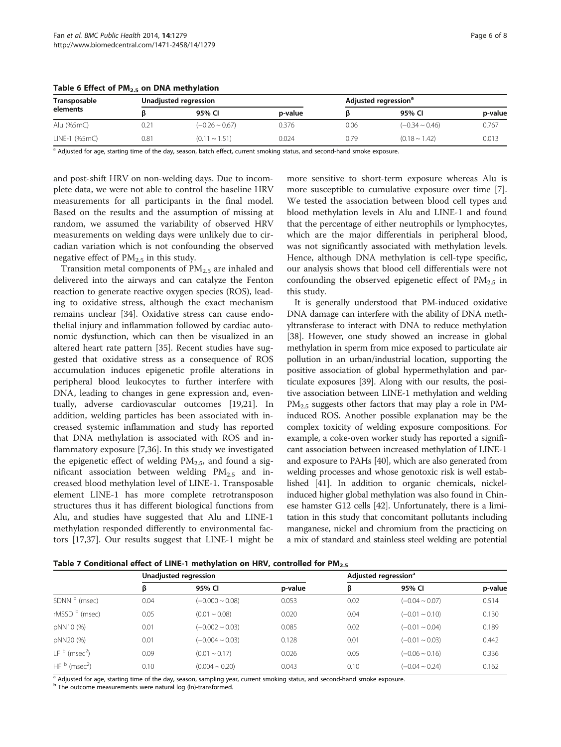<span id="page-5-0"></span>

| Table 6 Effect of $PM2.5$ on DNA methylation |  |  |  |
|----------------------------------------------|--|--|--|
|----------------------------------------------|--|--|--|

| Transposable<br>elements |      | Unadjusted regression |         | Adjusted regression <sup>a</sup> |                     |         |  |  |
|--------------------------|------|-----------------------|---------|----------------------------------|---------------------|---------|--|--|
|                          |      | 95% CI                | p-value |                                  | 95% CI              | p-value |  |  |
| Alu (%5mC)               | J.21 | $(-0.26 \sim 0.67)$   | 0.376   | 0.06                             | $(-0.34 \sim 0.46)$ | 0.767   |  |  |
| LINE-1 (%5mC)            | 0.81 | $(0.11 \sim 1.51)$    | 0.024   | 0.79                             | $(0.18 \sim 1.42)$  | 0.013   |  |  |

a Adjusted for age, starting time of the day, season, batch effect, current smoking status, and second-hand smoke exposure.

and post-shift HRV on non-welding days. Due to incomplete data, we were not able to control the baseline HRV measurements for all participants in the final model. Based on the results and the assumption of missing at random, we assumed the variability of observed HRV measurements on welding days were unlikely due to circadian variation which is not confounding the observed negative effect of  $PM_{2.5}$  in this study.

Transition metal components of  $PM<sub>2.5</sub>$  are inhaled and delivered into the airways and can catalyze the Fenton reaction to generate reactive oxygen species (ROS), leading to oxidative stress, although the exact mechanism remains unclear [\[34](#page-7-0)]. Oxidative stress can cause endothelial injury and inflammation followed by cardiac autonomic dysfunction, which can then be visualized in an altered heart rate pattern [\[35](#page-7-0)]. Recent studies have suggested that oxidative stress as a consequence of ROS accumulation induces epigenetic profile alterations in peripheral blood leukocytes to further interfere with DNA, leading to changes in gene expression and, eventually, adverse cardiovascular outcomes [\[19,21](#page-7-0)]. In addition, welding particles has been associated with increased systemic inflammation and study has reported that DNA methylation is associated with ROS and inflammatory exposure [\[7,36](#page-7-0)]. In this study we investigated the epigenetic effect of welding  $PM<sub>2.5</sub>$ , and found a significant association between welding  $PM_{2.5}$  and increased blood methylation level of LINE-1. Transposable element LINE-1 has more complete retrotransposon structures thus it has different biological functions from Alu, and studies have suggested that Alu and LINE-1 methylation responded differently to environmental factors [[17,37\]](#page-7-0). Our results suggest that LINE-1 might be more sensitive to short-term exposure whereas Alu is more susceptible to cumulative exposure over time [\[7](#page-7-0)]. We tested the association between blood cell types and blood methylation levels in Alu and LINE-1 and found that the percentage of either neutrophils or lymphocytes, which are the major differentials in peripheral blood, was not significantly associated with methylation levels. Hence, although DNA methylation is cell-type specific, our analysis shows that blood cell differentials were not confounding the observed epigenetic effect of  $PM_{2.5}$  in this study.

It is generally understood that PM-induced oxidative DNA damage can interfere with the ability of DNA methyltransferase to interact with DNA to reduce methylation [[38](#page-7-0)]. However, one study showed an increase in global methylation in sperm from mice exposed to particulate air pollution in an urban/industrial location, supporting the positive association of global hypermethylation and particulate exposures [\[39\]](#page-7-0). Along with our results, the positive association between LINE-1 methylation and welding  $PM_{2.5}$  suggests other factors that may play a role in PMinduced ROS. Another possible explanation may be the complex toxicity of welding exposure compositions. For example, a coke-oven worker study has reported a significant association between increased methylation of LINE-1 and exposure to PAHs [\[40\]](#page-7-0), which are also generated from welding processes and whose genotoxic risk is well established [\[41](#page-7-0)]. In addition to organic chemicals, nickelinduced higher global methylation was also found in Chinese hamster G12 cells [[42](#page-7-0)]. Unfortunately, there is a limitation in this study that concomitant pollutants including manganese, nickel and chromium from the practicing on a mix of standard and stainless steel welding are potential

| Table 7 Conditional effect of LINE-1 methylation on HRV, controlled for PM <sub>2.5</sub> |  |  |
|-------------------------------------------------------------------------------------------|--|--|
|-------------------------------------------------------------------------------------------|--|--|

|                             | Unadjusted regression |                      |         | Adjusted regression <sup>a</sup> |                     |         |
|-----------------------------|-----------------------|----------------------|---------|----------------------------------|---------------------|---------|
|                             | β                     | 95% CI               | p-value | ß                                | 95% CI              | p-value |
| SDNN <sup>b</sup> (msec)    | 0.04                  | $(-0.000 - 0.08)$    | 0.053   | 0.02                             | $(-0.04 \sim 0.07)$ | 0.514   |
| rMSSD b (msec)              | 0.05                  | $(0.01 - 0.08)$      | 0.020   | 0.04                             | $(-0.01 \sim 0.10)$ | 0.130   |
| pNN10 (%)                   | 0.01                  | $(-0.002 - 0.03)$    | 0.085   | 0.02                             | $(-0.01 \sim 0.04)$ | 0.189   |
| pNN20 (%)                   | 0.01                  | $(-0.004 \sim 0.03)$ | 0.128   | 0.01                             | $(-0.01 \sim 0.03)$ | 0.442   |
| $LFb$ (msec <sup>2</sup> )  | 0.09                  | $(0.01 \sim 0.17)$   | 0.026   | 0.05                             | $(-0.06 \sim 0.16)$ | 0.336   |
| HF $b$ (msec <sup>2</sup> ) | 0.10                  | $(0.004 \sim 0.20)$  | 0.043   | 0.10                             | $(-0.04 \sim 0.24)$ | 0.162   |

<sup>a</sup> Adjusted for age, starting time of the day, season, sampling year, current smoking status, and second-hand smoke exposure.

b The outcome measurements were natural log (ln)-transformed.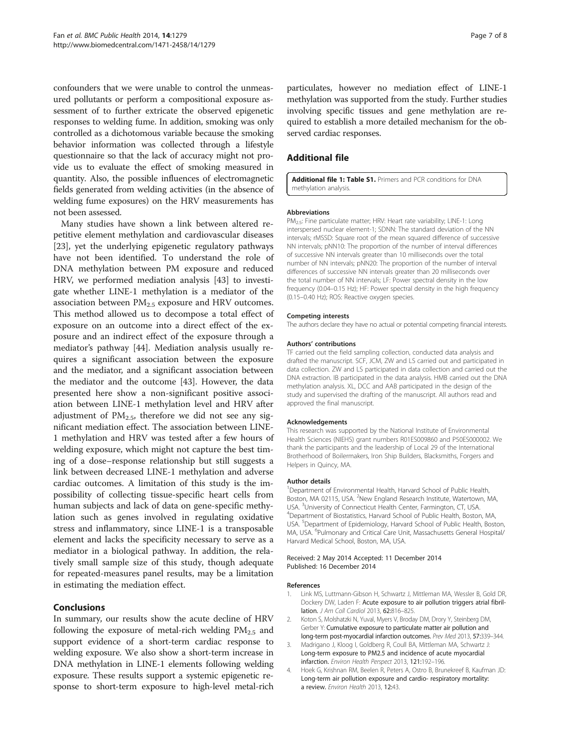<span id="page-6-0"></span>confounders that we were unable to control the unmeasured pollutants or perform a compositional exposure assessment of to further extricate the observed epigenetic responses to welding fume. In addition, smoking was only controlled as a dichotomous variable because the smoking behavior information was collected through a lifestyle questionnaire so that the lack of accuracy might not provide us to evaluate the effect of smoking measured in quantity. Also, the possible influences of electromagnetic fields generated from welding activities (in the absence of welding fume exposures) on the HRV measurements has not been assessed.

Many studies have shown a link between altered repetitive element methylation and cardiovascular diseases [[23\]](#page-7-0), yet the underlying epigenetic regulatory pathways have not been identified. To understand the role of DNA methylation between PM exposure and reduced HRV, we performed mediation analysis [\[43](#page-7-0)] to investigate whether LINE-1 methylation is a mediator of the association between  $PM_{2.5}$  exposure and HRV outcomes. This method allowed us to decompose a total effect of exposure on an outcome into a direct effect of the exposure and an indirect effect of the exposure through a mediator's pathway [[44](#page-7-0)]. Mediation analysis usually requires a significant association between the exposure and the mediator, and a significant association between the mediator and the outcome [\[43](#page-7-0)]. However, the data presented here show a non-significant positive association between LINE-1 methylation level and HRV after adjustment of  $PM_{2.5}$ , therefore we did not see any significant mediation effect. The association between LINE-1 methylation and HRV was tested after a few hours of welding exposure, which might not capture the best timing of a dose–response relationship but still suggests a link between decreased LINE-1 methylation and adverse cardiac outcomes. A limitation of this study is the impossibility of collecting tissue-specific heart cells from human subjects and lack of data on gene-specific methylation such as genes involved in regulating oxidative stress and inflammatory, since LINE-1 is a transposable element and lacks the specificity necessary to serve as a mediator in a biological pathway. In addition, the relatively small sample size of this study, though adequate for repeated-measures panel results, may be a limitation in estimating the mediation effect.

# Conclusions

In summary, our results show the acute decline of HRV following the exposure of metal-rich welding  $PM_{2.5}$  and support evidence of a short-term cardiac response to welding exposure. We also show a short-term increase in DNA methylation in LINE-1 elements following welding exposure. These results support a systemic epigenetic response to short-term exposure to high-level metal-rich particulates, however no mediation effect of LINE-1 methylation was supported from the study. Further studies involving specific tissues and gene methylation are required to establish a more detailed mechanism for the observed cardiac responses.

# Additional file

[Additional file 1: Table S1.](http://www.biomedcentral.com/content/supplementary/1471-2458-14-1279-S1.doc) Primers and PCR conditions for DNA methylation analysis.

#### Abbreviations

PM<sub>2.5</sub>: Fine particulate matter; HRV: Heart rate variability; LINE-1: Long interspersed nuclear element-1; SDNN: The standard deviation of the NN intervals; rMSSD: Square root of the mean squared difference of successive NN intervals; pNN10: The proportion of the number of interval differences of successive NN intervals greater than 10 milliseconds over the total number of NN intervals; pNN20: The proportion of the number of interval differences of successive NN intervals greater than 20 milliseconds over the total number of NN intervals; LF: Power spectral density in the low frequency (0.04–0.15 Hz); HF: Power spectral density in the high frequency (0.15–0.40 Hz); ROS: Reactive oxygen species.

#### Competing interests

The authors declare they have no actual or potential competing financial interests.

#### Authors' contributions

TF carried out the field sampling collection, conducted data analysis and drafted the manuscript. SCF, JCM, ZW and LS carried out and participated in data collection. ZW and LS participated in data collection and carried out the DNA extraction. IB participated in the data analysis. HMB carried out the DNA methylation analysis. XL, DCC and AAB participated in the design of the study and supervised the drafting of the manuscript. All authors read and approved the final manuscript.

#### Acknowledgements

This research was supported by the National Institute of Environmental Health Sciences (NIEHS) grant numbers R01ES009860 and P50ES000002. We thank the participants and the leadership of Local 29 of the International Brotherhood of Boilermakers, Iron Ship Builders, Blacksmiths, Forgers and Helpers in Quincy, MA.

#### Author details

<sup>1</sup>Department of Environmental Health, Harvard School of Public Health Boston, MA 02115, USA. <sup>2</sup>New England Research Institute, Watertown, MA USA. <sup>3</sup> University of Connecticut Health Center, Farmington, CT, USA. <sup>4</sup> Department of Biostatistics, Harvard School of Public Health, Boston, MA, USA. <sup>5</sup>Department of Epidemiology, Harvard School of Public Health, Boston, MA, USA. <sup>6</sup>Pulmonary and Critical Care Unit, Massachusetts General Hospital/ Harvard Medical School, Boston, MA, USA.

#### Received: 2 May 2014 Accepted: 11 December 2014 Published: 16 December 2014

#### References

- Link MS, Luttmann-Gibson H, Schwartz J, Mittleman MA, Wessler B, Gold DR, Dockery DW, Laden F: Acute exposure to air pollution triggers atrial fibrillation. J Am Coll Cardiol 2013, 62:816–825.
- 2. Koton S, Molshatzki N, Yuval, Myers V, Broday DM, Drory Y, Steinberg DM, Gerber Y: Cumulative exposure to particulate matter air pollution and long-term post-myocardial infarction outcomes. Prev Med 2013, 57:339–344.
- 3. Madrigano J, Kloog I, Goldberg R, Coull BA, Mittleman MA, Schwartz J: Long-term exposure to PM2.5 and incidence of acute myocardial infarction. Environ Health Perspect 2013, 121:192–196.
- 4. Hoek G, Krishnan RM, Beelen R, Peters A, Ostro B, Brunekreef B, Kaufman JD: Long-term air pollution exposure and cardio- respiratory mortality: a review. Environ Health 2013, 12:43.